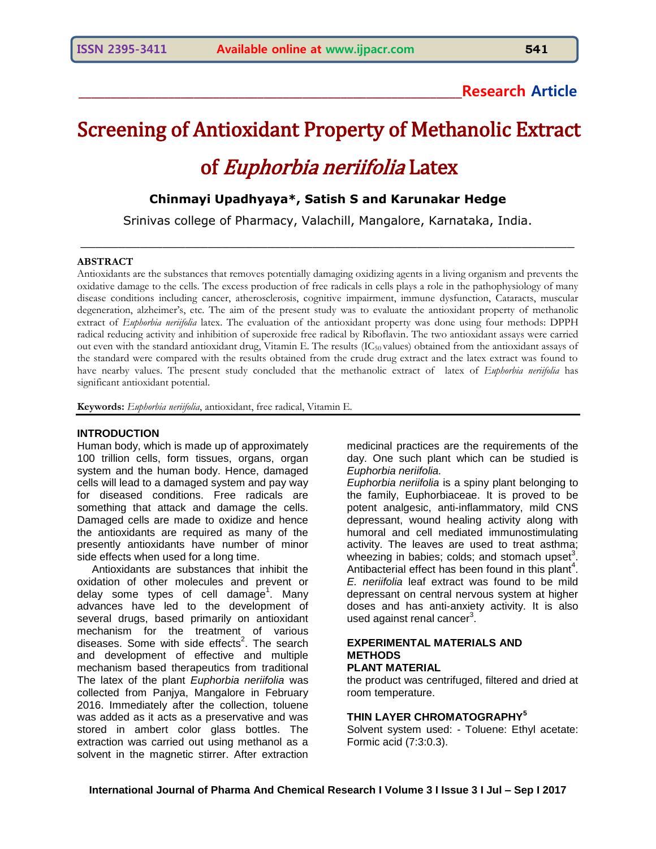# **\_\_\_\_\_\_\_\_\_\_\_\_\_\_\_\_\_\_\_\_\_\_\_\_\_\_\_\_\_\_\_\_\_\_\_\_\_\_\_\_\_\_\_\_\_\_\_\_\_\_\_\_\_\_\_\_\_\_\_\_Research Article**

# Screening of Antioxidant Property of Methanolic Extract of Euphorbia neriifolia Latex

## **Chinmayi Upadhyaya\*, Satish S and Karunakar Hedge**

Srinivas college of Pharmacy, Valachill, Mangalore, Karnataka, India.  $\mathcal{L}_\mathcal{L} = \{ \mathcal{L}_\mathcal{L} = \{ \mathcal{L}_\mathcal{L} = \{ \mathcal{L}_\mathcal{L} = \{ \mathcal{L}_\mathcal{L} = \{ \mathcal{L}_\mathcal{L} = \{ \mathcal{L}_\mathcal{L} = \{ \mathcal{L}_\mathcal{L} = \{ \mathcal{L}_\mathcal{L} = \{ \mathcal{L}_\mathcal{L} = \{ \mathcal{L}_\mathcal{L} = \{ \mathcal{L}_\mathcal{L} = \{ \mathcal{L}_\mathcal{L} = \{ \mathcal{L}_\mathcal{L} = \{ \mathcal{L}_\mathcal{$ 

#### **ABSTRACT**

Antioxidants are the substances that removes potentially damaging oxidizing agents in a living organism and prevents the oxidative damage to the cells. The excess production of free radicals in cells plays a role in the pathophysiology of many disease conditions including cancer, atherosclerosis, cognitive impairment, immune dysfunction, Cataracts, muscular degeneration, alzheimer's, etc. The aim of the present study was to evaluate the antioxidant property of methanolic extract of *Euphorbia neriifolia* latex. The evaluation of the antioxidant property was done using four methods: DPPH radical reducing activity and inhibition of superoxide free radical by Riboflavin. The two antioxidant assays were carried out even with the standard antioxidant drug, Vitamin E. The results  $(IC_{50}$  values) obtained from the antioxidant assays of the standard were compared with the results obtained from the crude drug extract and the latex extract was found to have nearby values. The present study concluded that the methanolic extract of latex of *Euphorbia neriifolia* has significant antioxidant potential.

**Keywords:** *Euphorbia neriifolia*, antioxidant, free radical, Vitamin E.

#### **INTRODUCTION**

Human body, which is made up of approximately 100 trillion cells, form tissues, organs, organ system and the human body. Hence, damaged cells will lead to a damaged system and pay way for diseased conditions. Free radicals are something that attack and damage the cells. Damaged cells are made to oxidize and hence the antioxidants are required as many of the presently antioxidants have number of minor side effects when used for a long time.

 Antioxidants are substances that inhibit the oxidation of other molecules and prevent or delay some types of cell damage<sup>1</sup>. Many advances have led to the development of several drugs, based primarily on antioxidant mechanism for the treatment of various diseases. Some with side effects<sup>2</sup>. The search and development of effective and multiple mechanism based therapeutics from traditional The latex of the plant *Euphorbia neriifolia* was collected from Panjya, Mangalore in February 2016. Immediately after the collection, toluene was added as it acts as a preservative and was stored in ambert color glass bottles. The extraction was carried out using methanol as a solvent in the magnetic stirrer. After extraction

medicinal practices are the requirements of the day. One such plant which can be studied is *Euphorbia neriifolia.*

*Euphorbia neriifolia* is a spiny plant belonging to the family, Euphorbiaceae. It is proved to be potent analgesic, anti-inflammatory, mild CNS depressant, wound healing activity along with humoral and cell mediated immunostimulating activity. The leaves are used to treat asthma; wheezing in babies; colds; and stomach upset<sup>3</sup>. Antibacterial effect has been found in this plant<sup>4</sup>. *E. neriifolia* leaf extract was found to be mild depressant on central nervous system at higher doses and has anti-anxiety activity. It is also used against renal cancer<sup>3</sup>.

#### **EXPERIMENTAL MATERIALS AND METHODS PLANT MATERIAL**

the product was centrifuged, filtered and dried at room temperature.

#### **THIN LAYER CHROMATOGRAPHY<sup>5</sup>**

Solvent system used: - Toluene: Ethyl acetate: Formic acid (7:3:0.3).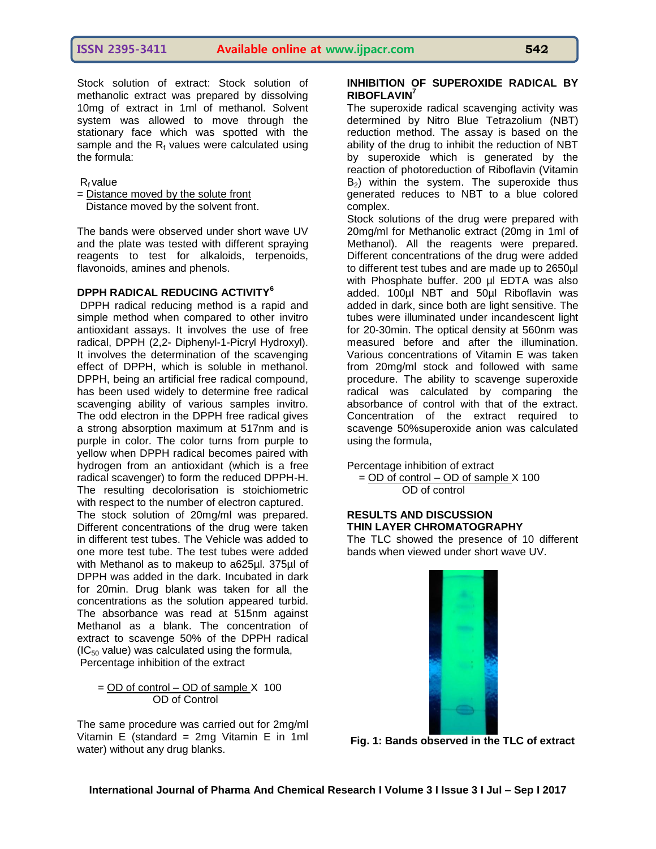Stock solution of extract: Stock solution of methanolic extract was prepared by dissolving 10mg of extract in 1ml of methanol. Solvent system was allowed to move through the stationary face which was spotted with the sample and the  $R_f$  values were calculated using the formula:

 $R_f$  value

= Distance moved by the solute front Distance moved by the solvent front.

The bands were observed under short wave UV and the plate was tested with different spraying reagents to test for alkaloids, terpenoids, flavonoids, amines and phenols.

### **DPPH RADICAL REDUCING ACTIVITY<sup>6</sup>**

DPPH radical reducing method is a rapid and simple method when compared to other invitro antioxidant assays. It involves the use of free radical, DPPH (2,2- Diphenyl-1-Picryl Hydroxyl). It involves the determination of the scavenging effect of DPPH, which is soluble in methanol. DPPH, being an artificial free radical compound, has been used widely to determine free radical scavenging ability of various samples invitro. The odd electron in the DPPH free radical gives a strong absorption maximum at 517nm and is purple in color. The color turns from purple to yellow when DPPH radical becomes paired with hydrogen from an antioxidant (which is a free radical scavenger) to form the reduced DPPH-H. The resulting decolorisation is stoichiometric with respect to the number of electron captured.

The stock solution of 20mg/ml was prepared. Different concentrations of the drug were taken in different test tubes. The Vehicle was added to one more test tube. The test tubes were added with Methanol as to makeup to a625µl. 375µl of DPPH was added in the dark. Incubated in dark for 20min. Drug blank was taken for all the concentrations as the solution appeared turbid. The absorbance was read at 515nm against Methanol as a blank. The concentration of extract to scavenge 50% of the DPPH radical  $(IC_{50}$  value) was calculated using the formula, Percentage inhibition of the extract

 $=$  OD of control – OD of sample X 100 OD of Control

The same procedure was carried out for 2mg/ml Vitamin E (standard = 2mg Vitamin E in 1ml water) without any drug blanks.

#### **INHIBITION OF SUPEROXIDE RADICAL BY RIBOFLAVIN<sup>7</sup>**

The superoxide radical scavenging activity was determined by Nitro Blue Tetrazolium (NBT) reduction method. The assay is based on the ability of the drug to inhibit the reduction of NBT by superoxide which is generated by the reaction of photoreduction of Riboflavin (Vitamin  $B_2$ ) within the system. The superoxide thus generated reduces to NBT to a blue colored complex.

Stock solutions of the drug were prepared with 20mg/ml for Methanolic extract (20mg in 1ml of Methanol). All the reagents were prepared. Different concentrations of the drug were added to different test tubes and are made up to 2650µl with Phosphate buffer. 200 µl EDTA was also added. 100µl NBT and 50µl Riboflavin was added in dark, since both are light sensitive. The tubes were illuminated under incandescent light for 20-30min. The optical density at 560nm was measured before and after the illumination. Various concentrations of Vitamin E was taken from 20mg/ml stock and followed with same procedure. The ability to scavenge superoxide radical was calculated by comparing the absorbance of control with that of the extract. Concentration of the extract required to scavenge 50%superoxide anion was calculated using the formula,

Percentage inhibition of extract = OD of control – OD of sample X 100 OD of control

#### **RESULTS AND DISCUSSION THIN LAYER CHROMATOGRAPHY**

The TLC showed the presence of 10 different bands when viewed under short wave UV.



**Fig. 1: Bands observed in the TLC of extract**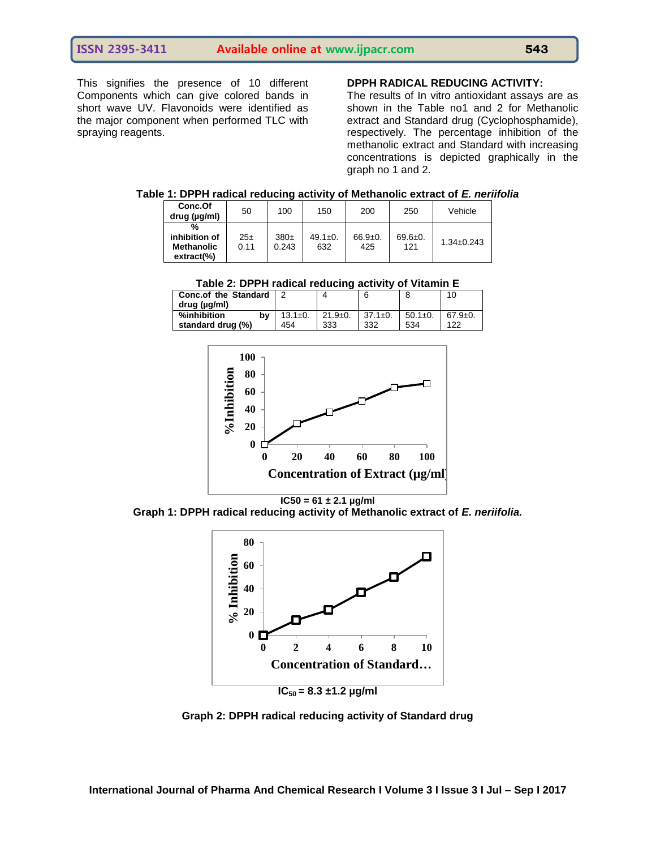This signifies the presence of 10 different Components which can give colored bands in short wave UV. Flavonoids were identified as the major component when performed TLC with spraying reagents.

#### **DPPH RADICAL REDUCING ACTIVITY:**

The results of In vitro antioxidant assays are as shown in the Table no1 and 2 for Methanolic extract and Standard drug (Cyclophosphamide), respectively. The percentage inhibition of the methanolic extract and Standard with increasing concentrations is depicted graphically in the graph no 1 and 2.

| Table 1: DPPH radical reducing activity of Methanolic extract of E. neriifolia |  |  |  |
|--------------------------------------------------------------------------------|--|--|--|
|--------------------------------------------------------------------------------|--|--|--|

| Conc.Of<br>drug (µg/ml)                                  | 50          | 100                       | 150                  | 200                | 250                  | Vehicle          |
|----------------------------------------------------------|-------------|---------------------------|----------------------|--------------------|----------------------|------------------|
| %<br>inhibition of<br><b>Methanolic</b><br>$extract(\%)$ | 25±<br>0.11 | 380 <sub>±</sub><br>0.243 | $49.1 \pm 0.$<br>632 | $66.9 + 0.$<br>425 | $69.6 \pm 0.$<br>121 | $1.34 \pm 0.243$ |

| Table 2: DPPH radical reducing activity of Vitamin E |                      |                  |                      |                      |                      |  |
|------------------------------------------------------|----------------------|------------------|----------------------|----------------------|----------------------|--|
| Conc.of the Standard   2<br>drug (ug/ml)             |                      |                  |                      |                      | 10                   |  |
| %inhibition<br>b٧<br>standard drug (%)               | $13.1 \pm 0.$<br>454 | $21.9+0.$<br>333 | $37.1 \pm 0.$<br>332 | $50.1 \pm 0.$<br>534 | $67.9 \pm 0.$<br>122 |  |



 $IC50 = 61 \pm 2.1$   $\mu$ g/ml

**Graph 1: DPPH radical reducing activity of Methanolic extract of** *E. neriifolia.*



**Graph 2: DPPH radical reducing activity of Standard drug**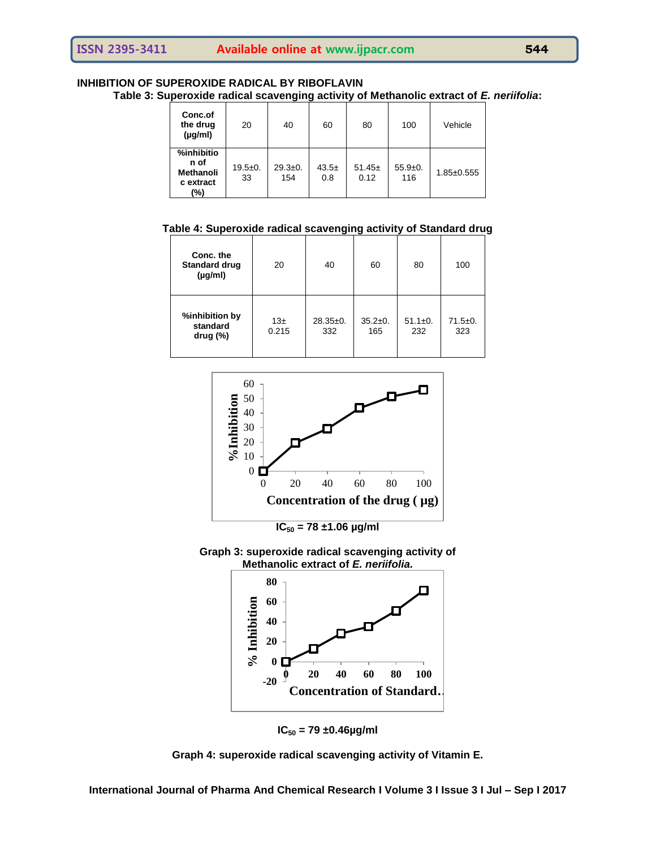#### **INHIBITION OF SUPEROXIDE RADICAL BY RIBOFLAVIN Table 3: Superoxide radical scavenging activity of Methanolic extract of** *E. neriifolia***:**

| Conc.of<br>the drug<br>$(\mu g/ml)$                        | 20                | 40                 | 60             | 80               | 100              | Vehicle          |
|------------------------------------------------------------|-------------------|--------------------|----------------|------------------|------------------|------------------|
| %inhibitio<br>n of<br><b>Methanoli</b><br>c extract<br>(%) | $19.5 + 0.$<br>33 | $29.3 + 0.$<br>154 | $43.5+$<br>0.8 | $51.45+$<br>0.12 | $55.9+0.$<br>116 | $1.85 \pm 0.555$ |

**Table 4: Superoxide radical scavenging activity of Standard drug**

| Conc. the<br><b>Standard drug</b><br>$(\mu g/ml)$ | 20               | 40                | 60                   | 80                   | 100                  |
|---------------------------------------------------|------------------|-------------------|----------------------|----------------------|----------------------|
| %inhibition by<br>standard<br>drug $(\%)$         | $13\pm$<br>0.215 | $28.35+0.$<br>332 | $35.2 \pm 0.$<br>165 | $51.1 \pm 0.$<br>232 | $71.5 \pm 0.$<br>323 |



**IC<sup>50</sup> = 78 ±1.06 µg/ml**





**IC<sup>50</sup> = 79 ±0.46µg/ml**



**International Journal of Pharma And Chemical Research I Volume 3 I Issue 3 I Jul – Sep I 2017**